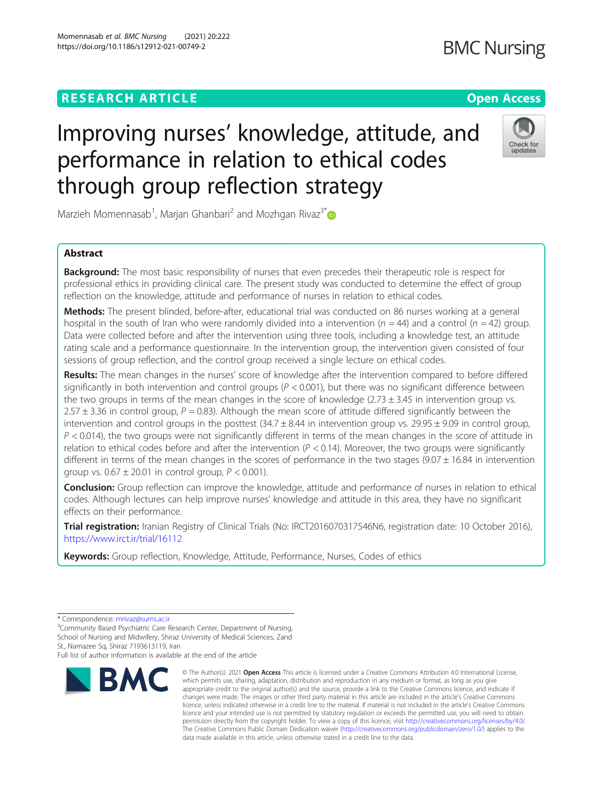# **RESEARCH ARTICLE Example 2014 12:30 The Contract of Contract ACCESS**

# Improving nurses' knowledge, attitude, and performance in relation to ethical codes through group reflection strategy

Marzieh Momennasab<sup>1</sup>, Marjan Ghanbari<sup>2</sup> and Mozhgan Rivaz<sup>3[\\*](http://orcid.org/0000-0002-3581-7112)</sup>

# Abstract

Background: The most basic responsibility of nurses that even precedes their therapeutic role is respect for professional ethics in providing clinical care. The present study was conducted to determine the effect of group reflection on the knowledge, attitude and performance of nurses in relation to ethical codes.

Methods: The present blinded, before-after, educational trial was conducted on 86 nurses working at a general hospital in the south of Iran who were randomly divided into a intervention ( $n = 44$ ) and a control ( $n = 42$ ) group. Data were collected before and after the intervention using three tools, including a knowledge test, an attitude rating scale and a performance questionnaire. In the intervention group, the intervention given consisted of four sessions of group reflection, and the control group received a single lecture on ethical codes.

Results: The mean changes in the nurses' score of knowledge after the intervention compared to before differed significantly in both intervention and control groups ( $P < 0.001$ ), but there was no significant difference between the two groups in terms of the mean changes in the score of knowledge  $(2.73 \pm 3.45)$  in intervention group vs. 2.57  $\pm$  3.36 in control group, P = 0.83). Although the mean score of attitude differed significantly between the intervention and control groups in the posttest  $(34.7 \pm 8.44)$  in intervention group vs. 29.95  $\pm$  9.09 in control group,  $P < 0.014$ ), the two groups were not significantly different in terms of the mean changes in the score of attitude in relation to ethical codes before and after the intervention ( $P < 0.14$ ). Moreover, the two groups were significantly different in terms of the mean changes in the scores of performance in the two stages ( $9.07 \pm 16.84$  in intervention group vs.  $0.67 \pm 20.01$  in control group,  $P < 0.001$ ).

**Conclusion:** Group reflection can improve the knowledge, attitude and performance of nurses in relation to ethical codes. Although lectures can help improve nurses' knowledge and attitude in this area, they have no significant effects on their performance.

Trial registration: Iranian Registry of Clinical Trials (No: IRCT2016070317546N6, registration date: 10 October 2016), <https://www.irct.ir/trial/16112>

Keywords: Group reflection, Knowledge, Attitude, Performance, Nurses, Codes of ethics

Full list of author information is available at the end of the article

**RMC** 



<sup>\*</sup> Correspondence: [mrivaz@sums.ac.ir](mailto:mrivaz@sums.ac.ir)<br><sup>3</sup>Community Based Psychiatric Care Research Center, Department of Nursing, School of Nursing and Midwifery, Shiraz University of Medical Sciences, Zand St., Namazee Sq, Shiraz 7193613119, Iran

<sup>©</sup> The Author(s), 2021 **Open Access** This article is licensed under a Creative Commons Attribution 4.0 International License, which permits use, sharing, adaptation, distribution and reproduction in any medium or format, as long as you give appropriate credit to the original author(s) and the source, provide a link to the Creative Commons licence, and indicate if changes were made. The images or other third party material in this article are included in the article's Creative Commons licence, unless indicated otherwise in a credit line to the material. If material is not included in the article's Creative Commons licence and your intended use is not permitted by statutory regulation or exceeds the permitted use, you will need to obtain permission directly from the copyright holder. To view a copy of this licence, visit [http://creativecommons.org/licenses/by/4.0/.](http://creativecommons.org/licenses/by/4.0/) The Creative Commons Public Domain Dedication waiver [\(http://creativecommons.org/publicdomain/zero/1.0/](http://creativecommons.org/publicdomain/zero/1.0/)) applies to the data made available in this article, unless otherwise stated in a credit line to the data.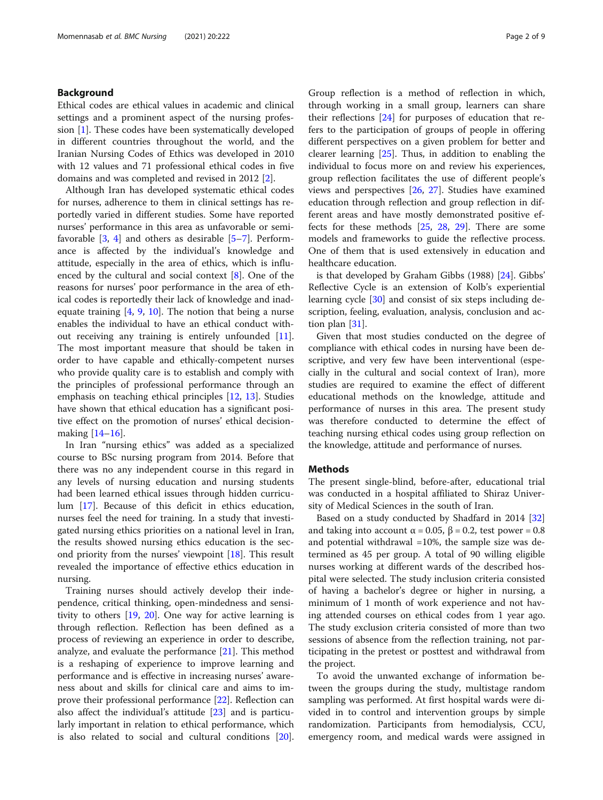# Background

Ethical codes are ethical values in academic and clinical settings and a prominent aspect of the nursing profession [[1\]](#page-6-0). These codes have been systematically developed in different countries throughout the world, and the Iranian Nursing Codes of Ethics was developed in 2010 with 12 values and 71 professional ethical codes in five domains and was completed and revised in 2012 [[2\]](#page-6-0).

Although Iran has developed systematic ethical codes for nurses, adherence to them in clinical settings has reportedly varied in different studies. Some have reported nurses' performance in this area as unfavorable or semifavorable  $[3, 4]$  $[3, 4]$  $[3, 4]$  $[3, 4]$  and others as desirable  $[5-7]$  $[5-7]$  $[5-7]$  $[5-7]$ . Performance is affected by the individual's knowledge and attitude, especially in the area of ethics, which is influenced by the cultural and social context [\[8](#page-7-0)]. One of the reasons for nurses' poor performance in the area of ethical codes is reportedly their lack of knowledge and inadequate training [[4](#page-6-0), [9,](#page-7-0) [10](#page-7-0)]. The notion that being a nurse enables the individual to have an ethical conduct without receiving any training is entirely unfounded [\[11](#page-7-0)]. The most important measure that should be taken in order to have capable and ethically-competent nurses who provide quality care is to establish and comply with the principles of professional performance through an emphasis on teaching ethical principles [[12,](#page-7-0) [13](#page-7-0)]. Studies have shown that ethical education has a significant positive effect on the promotion of nurses' ethical decisionmaking [[14](#page-7-0)–[16\]](#page-7-0).

In Iran "nursing ethics" was added as a specialized course to BSc nursing program from 2014. Before that there was no any independent course in this regard in any levels of nursing education and nursing students had been learned ethical issues through hidden curriculum [[17](#page-7-0)]. Because of this deficit in ethics education, nurses feel the need for training. In a study that investigated nursing ethics priorities on a national level in Iran, the results showed nursing ethics education is the second priority from the nurses' viewpoint [\[18](#page-7-0)]. This result revealed the importance of effective ethics education in nursing.

Training nurses should actively develop their independence, critical thinking, open-mindedness and sensitivity to others [\[19](#page-7-0), [20](#page-7-0)]. One way for active learning is through reflection. Reflection has been defined as a process of reviewing an experience in order to describe, analyze, and evaluate the performance [[21\]](#page-7-0). This method is a reshaping of experience to improve learning and performance and is effective in increasing nurses' awareness about and skills for clinical care and aims to improve their professional performance [\[22](#page-7-0)]. Reflection can also affect the individual's attitude [\[23](#page-7-0)] and is particularly important in relation to ethical performance, which is also related to social and cultural conditions [\[20](#page-7-0)].

Group reflection is a method of reflection in which, through working in a small group, learners can share their reflections [\[24](#page-7-0)] for purposes of education that refers to the participation of groups of people in offering different perspectives on a given problem for better and clearer learning [\[25\]](#page-7-0). Thus, in addition to enabling the individual to focus more on and review his experiences, group reflection facilitates the use of different people's views and perspectives [\[26,](#page-7-0) [27](#page-7-0)]. Studies have examined education through reflection and group reflection in different areas and have mostly demonstrated positive effects for these methods [\[25](#page-7-0), [28](#page-7-0), [29](#page-7-0)]. There are some models and frameworks to guide the reflective process. One of them that is used extensively in education and healthcare education.

is that developed by Graham Gibbs (1988) [\[24](#page-7-0)]. Gibbs' Reflective Cycle is an extension of Kolb's experiential learning cycle [[30\]](#page-7-0) and consist of six steps including description, feeling, evaluation, analysis, conclusion and action plan [[31](#page-7-0)].

Given that most studies conducted on the degree of compliance with ethical codes in nursing have been descriptive, and very few have been interventional (especially in the cultural and social context of Iran), more studies are required to examine the effect of different educational methods on the knowledge, attitude and performance of nurses in this area. The present study was therefore conducted to determine the effect of teaching nursing ethical codes using group reflection on the knowledge, attitude and performance of nurses.

# Methods

The present single-blind, before-after, educational trial was conducted in a hospital affiliated to Shiraz University of Medical Sciences in the south of Iran.

Based on a study conducted by Shadfard in 2014 [[32](#page-7-0)] and taking into account  $\alpha = 0.05$ ,  $\beta = 0.2$ , test power = 0.8 and potential withdrawal =10%, the sample size was determined as 45 per group. A total of 90 willing eligible nurses working at different wards of the described hospital were selected. The study inclusion criteria consisted of having a bachelor's degree or higher in nursing, a minimum of 1 month of work experience and not having attended courses on ethical codes from 1 year ago. The study exclusion criteria consisted of more than two sessions of absence from the reflection training, not participating in the pretest or posttest and withdrawal from the project.

To avoid the unwanted exchange of information between the groups during the study, multistage random sampling was performed. At first hospital wards were divided in to control and intervention groups by simple randomization. Participants from hemodialysis, CCU, emergency room, and medical wards were assigned in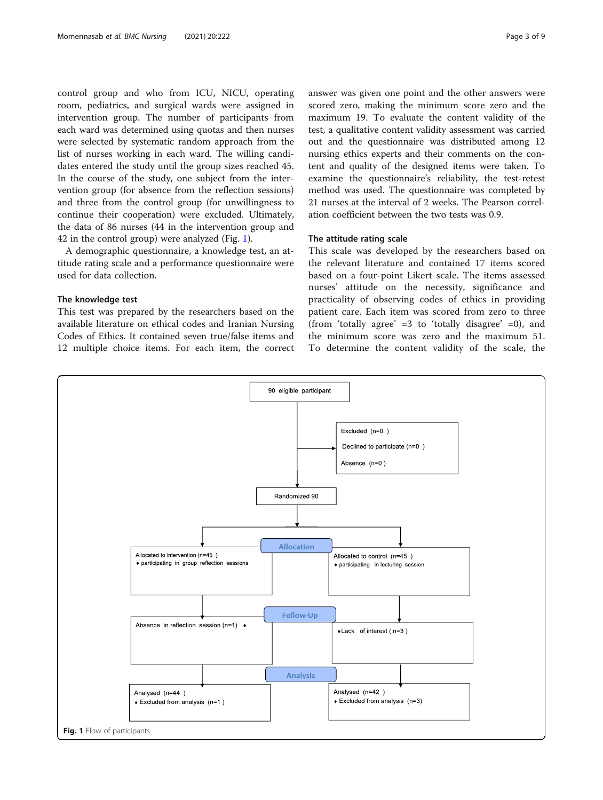control group and who from ICU, NICU, operating room, pediatrics, and surgical wards were assigned in intervention group. The number of participants from each ward was determined using quotas and then nurses were selected by systematic random approach from the list of nurses working in each ward. The willing candidates entered the study until the group sizes reached 45. In the course of the study, one subject from the intervention group (for absence from the reflection sessions) and three from the control group (for unwillingness to continue their cooperation) were excluded. Ultimately, the data of 86 nurses (44 in the intervention group and 42 in the control group) were analyzed (Fig. 1).

A demographic questionnaire, a knowledge test, an attitude rating scale and a performance questionnaire were used for data collection.

# The knowledge test

This test was prepared by the researchers based on the available literature on ethical codes and Iranian Nursing Codes of Ethics. It contained seven true/false items and 12 multiple choice items. For each item, the correct answer was given one point and the other answers were scored zero, making the minimum score zero and the maximum 19. To evaluate the content validity of the test, a qualitative content validity assessment was carried out and the questionnaire was distributed among 12 nursing ethics experts and their comments on the content and quality of the designed items were taken. To examine the questionnaire's reliability, the test-retest method was used. The questionnaire was completed by 21 nurses at the interval of 2 weeks. The Pearson correlation coefficient between the two tests was 0.9.

#### The attitude rating scale

This scale was developed by the researchers based on the relevant literature and contained 17 items scored based on a four-point Likert scale. The items assessed nurses' attitude on the necessity, significance and practicality of observing codes of ethics in providing patient care. Each item was scored from zero to three (from 'totally agree'  $=3$  to 'totally disagree'  $=0$ ), and the minimum score was zero and the maximum 51. To determine the content validity of the scale, the

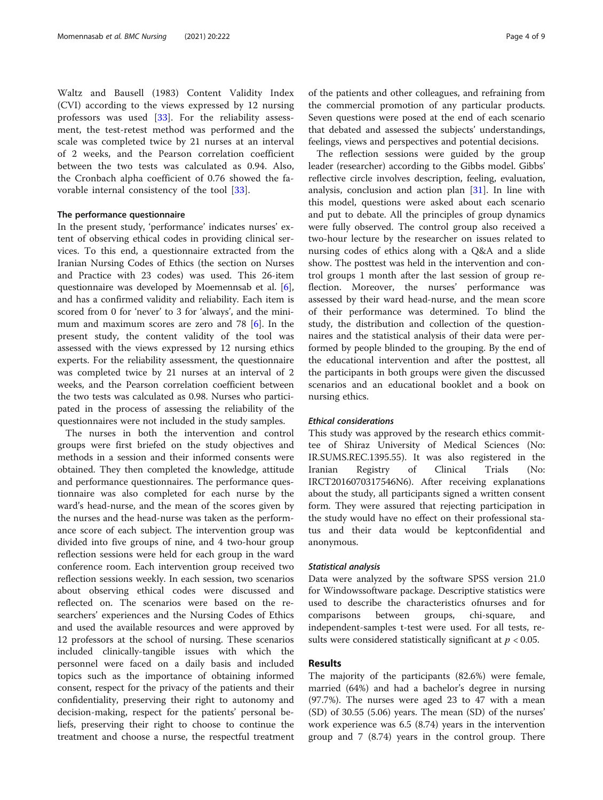Waltz and Bausell (1983) Content Validity Index (CVI) according to the views expressed by 12 nursing professors was used [[33\]](#page-7-0). For the reliability assessment, the test-retest method was performed and the scale was completed twice by 21 nurses at an interval of 2 weeks, and the Pearson correlation coefficient between the two tests was calculated as 0.94. Also, the Cronbach alpha coefficient of 0.76 showed the favorable internal consistency of the tool [[33\]](#page-7-0).

#### The performance questionnaire

In the present study, 'performance' indicates nurses' extent of observing ethical codes in providing clinical services. To this end, a questionnaire extracted from the Iranian Nursing Codes of Ethics (the section on Nurses and Practice with 23 codes) was used. This 26-item questionnaire was developed by Moemennsab et al. [\[6](#page-6-0)], and has a confirmed validity and reliability. Each item is scored from 0 for 'never' to 3 for 'always', and the minimum and maximum scores are zero and 78 [[6\]](#page-6-0). In the present study, the content validity of the tool was assessed with the views expressed by 12 nursing ethics experts. For the reliability assessment, the questionnaire was completed twice by 21 nurses at an interval of 2 weeks, and the Pearson correlation coefficient between the two tests was calculated as 0.98. Nurses who participated in the process of assessing the reliability of the questionnaires were not included in the study samples.

The nurses in both the intervention and control groups were first briefed on the study objectives and methods in a session and their informed consents were obtained. They then completed the knowledge, attitude and performance questionnaires. The performance questionnaire was also completed for each nurse by the ward's head-nurse, and the mean of the scores given by the nurses and the head-nurse was taken as the performance score of each subject. The intervention group was divided into five groups of nine, and 4 two-hour group reflection sessions were held for each group in the ward conference room. Each intervention group received two reflection sessions weekly. In each session, two scenarios about observing ethical codes were discussed and reflected on. The scenarios were based on the researchers' experiences and the Nursing Codes of Ethics and used the available resources and were approved by 12 professors at the school of nursing. These scenarios included clinically-tangible issues with which the personnel were faced on a daily basis and included topics such as the importance of obtaining informed consent, respect for the privacy of the patients and their confidentiality, preserving their right to autonomy and decision-making, respect for the patients' personal beliefs, preserving their right to choose to continue the treatment and choose a nurse, the respectful treatment of the patients and other colleagues, and refraining from the commercial promotion of any particular products. Seven questions were posed at the end of each scenario that debated and assessed the subjects' understandings, feelings, views and perspectives and potential decisions.

The reflection sessions were guided by the group leader (researcher) according to the Gibbs model. Gibbs' reflective circle involves description, feeling, evaluation, analysis, conclusion and action plan [\[31](#page-7-0)]. In line with this model, questions were asked about each scenario and put to debate. All the principles of group dynamics were fully observed. The control group also received a two-hour lecture by the researcher on issues related to nursing codes of ethics along with a Q&A and a slide show. The posttest was held in the intervention and control groups 1 month after the last session of group reflection. Moreover, the nurses' performance was assessed by their ward head-nurse, and the mean score of their performance was determined. To blind the study, the distribution and collection of the questionnaires and the statistical analysis of their data were performed by people blinded to the grouping. By the end of the educational intervention and after the posttest, all the participants in both groups were given the discussed scenarios and an educational booklet and a book on nursing ethics.

#### Ethical considerations

This study was approved by the research ethics committee of Shiraz University of Medical Sciences (No: IR.SUMS.REC.1395.55). It was also registered in the Iranian Registry of Clinical Trials (No: IRCT2016070317546N6). After receiving explanations about the study, all participants signed a written consent form. They were assured that rejecting participation in the study would have no effect on their professional status and their data would be keptconfidential and anonymous.

#### Statistical analysis

Data were analyzed by the software SPSS version 21.0 for Windowssoftware package. Descriptive statistics were used to describe the characteristics ofnurses and for comparisons between groups, chi-square, and independent-samples t-test were used. For all tests, results were considered statistically significant at  $p < 0.05$ .

# Results

The majority of the participants (82.6%) were female, married (64%) and had a bachelor's degree in nursing (97.7%). The nurses were aged 23 to 47 with a mean (SD) of 30.55 (5.06) years. The mean (SD) of the nurses' work experience was 6.5 (8.74) years in the intervention group and 7 (8.74) years in the control group. There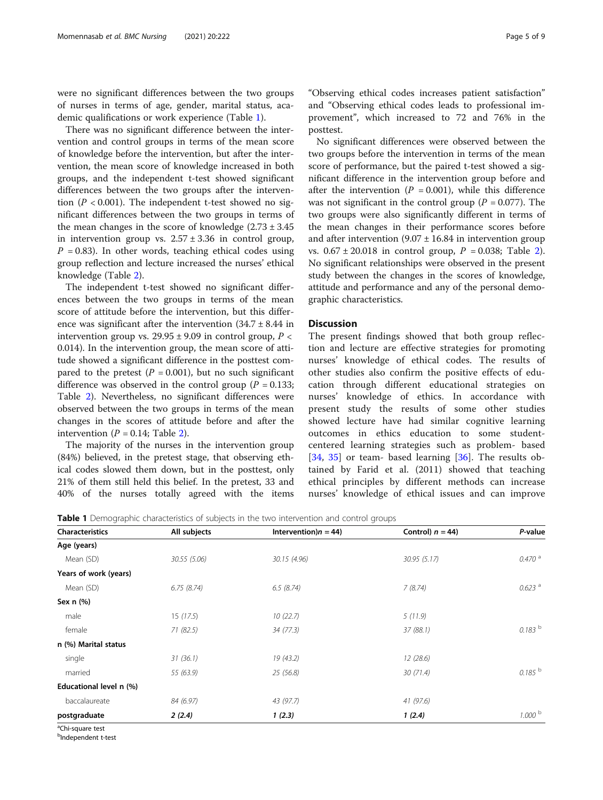were no significant differences between the two groups of nurses in terms of age, gender, marital status, academic qualifications or work experience (Table 1).

There was no significant difference between the intervention and control groups in terms of the mean score of knowledge before the intervention, but after the intervention, the mean score of knowledge increased in both groups, and the independent t-test showed significant differences between the two groups after the intervention ( $P < 0.001$ ). The independent t-test showed no significant differences between the two groups in terms of the mean changes in the score of knowledge  $(2.73 \pm 3.45)$ in intervention group vs.  $2.57 \pm 3.36$  in control group,  $P = 0.83$ ). In other words, teaching ethical codes using group reflection and lecture increased the nurses' ethical knowledge (Table [2](#page-5-0)).

The independent t-test showed no significant differences between the two groups in terms of the mean score of attitude before the intervention, but this difference was significant after the intervention  $(34.7 \pm 8.44)$  in intervention group vs.  $29.95 \pm 9.09$  in control group,  $P \lt \sqrt{P}$ 0.014). In the intervention group, the mean score of attitude showed a significant difference in the posttest compared to the pretest ( $P = 0.001$ ), but no such significant difference was observed in the control group ( $P = 0.133$ ; Table [2\)](#page-5-0). Nevertheless, no significant differences were observed between the two groups in terms of the mean changes in the scores of attitude before and after the intervention ( $P = 0.14$ ; Table [2\)](#page-5-0).

The majority of the nurses in the intervention group (84%) believed, in the pretest stage, that observing ethical codes slowed them down, but in the posttest, only 21% of them still held this belief. In the pretest, 33 and 40% of the nurses totally agreed with the items

"Observing ethical codes increases patient satisfaction" and "Observing ethical codes leads to professional improvement", which increased to 72 and 76% in the posttest.

No significant differences were observed between the two groups before the intervention in terms of the mean score of performance, but the paired t-test showed a significant difference in the intervention group before and after the intervention ( $P = 0.001$ ), while this difference was not significant in the control group ( $P = 0.077$ ). The two groups were also significantly different in terms of the mean changes in their performance scores before and after intervention  $(9.07 \pm 16.84)$  in intervention group vs.  $0.67 \pm 20.018$  $0.67 \pm 20.018$  $0.67 \pm 20.018$  in control group,  $P = 0.038$ ; Table 2). No significant relationships were observed in the present study between the changes in the scores of knowledge, attitude and performance and any of the personal demographic characteristics.

# Discussion

The present findings showed that both group reflection and lecture are effective strategies for promoting nurses' knowledge of ethical codes. The results of other studies also confirm the positive effects of education through different educational strategies on nurses' knowledge of ethics. In accordance with present study the results of some other studies showed lecture have had similar cognitive learning outcomes in ethics education to some studentcentered learning strategies such as problem- based [[34,](#page-7-0) [35](#page-7-0)] or team- based learning [[36\]](#page-7-0). The results obtained by Farid et al. (2011) showed that teaching ethical principles by different methods can increase nurses' knowledge of ethical issues and can improve

**Table 1** Demographic characteristics of subjects in the two intervention and control groups

| <b>Characteristics</b>       | All subjects | Intervention) $n = 44$ ) | Control) $n = 44$ ) | P-value              |
|------------------------------|--------------|--------------------------|---------------------|----------------------|
| Age (years)                  |              |                          |                     |                      |
| Mean (SD)                    | 30.55 (5.06) | 30.15 (4.96)             | 30.95(5.17)         | $0.470$ <sup>a</sup> |
| Years of work (years)        |              |                          |                     |                      |
| Mean (SD)                    | 6.75(8.74)   | 6.5(8.74)                | 7(8.74)             | $0.623$ <sup>a</sup> |
| Sex $n$ $(\%)$               |              |                          |                     |                      |
| male                         | 15(17.5)     | 10(22.7)                 | 5(11.9)             |                      |
| female                       | 71(82.5)     | 34 (77.3)                | 37 (88.1)           | $0.183^{b}$          |
| n (%) Marital status         |              |                          |                     |                      |
| single                       | 31(36.1)     | 19 (43.2)                | 12(28.6)            |                      |
| married                      | 55 (63.9)    | 25(56.8)                 | 30(71.4)            | $0.185^{b}$          |
| Educational level n (%)      |              |                          |                     |                      |
| baccalaureate                | 84 (6.97)    | 43 (97.7)                | 41(97.6)            |                      |
| postgraduate                 | 2(2.4)       | 1(2.3)                   | 1(2.4)              | $1.000$ b            |
| <sup>a</sup> Chi-square test |              |                          |                     |                      |

<sup>b</sup>Independent t-test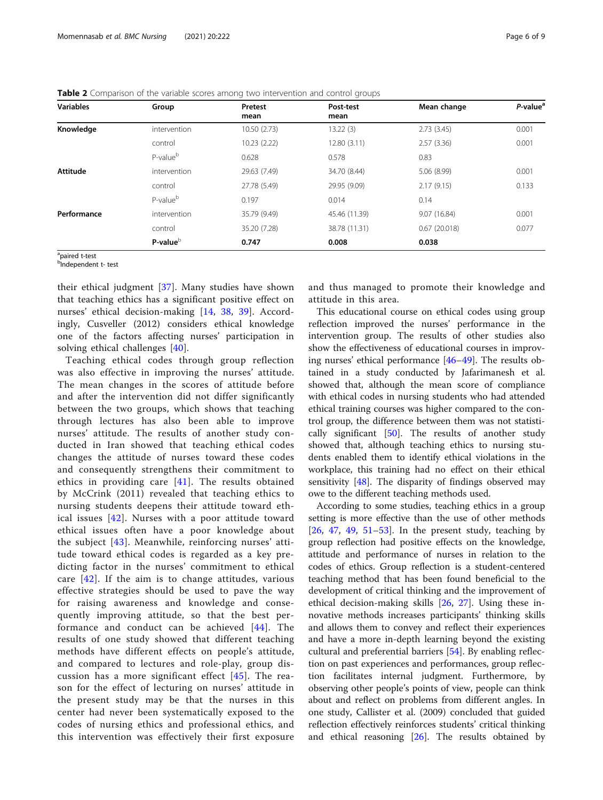| <b>Variables</b> | Group                | Pretest<br>mean | Post-test<br>mean | Mean change  | P-value <sup>a</sup> |
|------------------|----------------------|-----------------|-------------------|--------------|----------------------|
| Knowledge        | intervention         | 10.50 (2.73)    | 13.22(3)          | 2.73(3.45)   | 0.001                |
|                  | control              | 10.23 (2.22)    | 12.80(3.11)       | 2.57(3.36)   | 0.001                |
|                  | P-value <sup>b</sup> | 0.628           | 0.578             | 0.83         |                      |
| <b>Attitude</b>  | intervention         | 29.63 (7.49)    | 34.70 (8.44)      | 5.06 (8.99)  | 0.001                |
|                  | control              | 27.78 (5.49)    | 29.95 (9.09)      | 2.17(9.15)   | 0.133                |
|                  | P-value <sup>b</sup> | 0.197           | 0.014             | 0.14         |                      |
| Performance      | intervention         | 35.79 (9.49)    | 45.46 (11.39)     | 9.07 (16.84) | 0.001                |
|                  | control              | 35.20 (7.28)    | 38.78 (11.31)     | 0.67(20.018) | 0.077                |
|                  | P-value <sup>b</sup> | 0.747           | 0.008             | 0.038        |                      |

<span id="page-5-0"></span>Table 2 Comparison of the variable scores among two intervention and control groups

<sup>a</sup>paired t-test

<sup>b</sup>Independent t- test

their ethical judgment [\[37](#page-7-0)]. Many studies have shown that teaching ethics has a significant positive effect on nurses' ethical decision-making [[14,](#page-7-0) [38](#page-7-0), [39\]](#page-7-0). Accordingly, Cusveller (2012) considers ethical knowledge one of the factors affecting nurses' participation in solving ethical challenges [\[40](#page-7-0)].

Teaching ethical codes through group reflection was also effective in improving the nurses' attitude. The mean changes in the scores of attitude before and after the intervention did not differ significantly between the two groups, which shows that teaching through lectures has also been able to improve nurses' attitude. The results of another study conducted in Iran showed that teaching ethical codes changes the attitude of nurses toward these codes and consequently strengthens their commitment to ethics in providing care [[41](#page-7-0)]. The results obtained by McCrink (2011) revealed that teaching ethics to nursing students deepens their attitude toward ethical issues [[42\]](#page-7-0). Nurses with a poor attitude toward ethical issues often have a poor knowledge about the subject [[43\]](#page-7-0). Meanwhile, reinforcing nurses' attitude toward ethical codes is regarded as a key predicting factor in the nurses' commitment to ethical care  $[42]$  $[42]$  $[42]$ . If the aim is to change attitudes, various effective strategies should be used to pave the way for raising awareness and knowledge and consequently improving attitude, so that the best performance and conduct can be achieved [\[44\]](#page-7-0). The results of one study showed that different teaching methods have different effects on people's attitude, and compared to lectures and role-play, group discussion has a more significant effect  $[45]$  $[45]$  $[45]$ . The reason for the effect of lecturing on nurses' attitude in the present study may be that the nurses in this center had never been systematically exposed to the codes of nursing ethics and professional ethics, and this intervention was effectively their first exposure

and thus managed to promote their knowledge and attitude in this area.

This educational course on ethical codes using group reflection improved the nurses' performance in the intervention group. The results of other studies also show the effectiveness of educational courses in improving nurses' ethical performance [[46](#page-7-0)–[49](#page-7-0)]. The results obtained in a study conducted by Jafarimanesh et al. showed that, although the mean score of compliance with ethical codes in nursing students who had attended ethical training courses was higher compared to the control group, the difference between them was not statistically significant  $[50]$  $[50]$  $[50]$ . The results of another study showed that, although teaching ethics to nursing students enabled them to identify ethical violations in the workplace, this training had no effect on their ethical sensitivity [[48](#page-7-0)]. The disparity of findings observed may owe to the different teaching methods used.

According to some studies, teaching ethics in a group setting is more effective than the use of other methods  $[26, 47, 49, 51-53]$  $[26, 47, 49, 51-53]$  $[26, 47, 49, 51-53]$  $[26, 47, 49, 51-53]$  $[26, 47, 49, 51-53]$  $[26, 47, 49, 51-53]$  $[26, 47, 49, 51-53]$  $[26, 47, 49, 51-53]$  $[26, 47, 49, 51-53]$  $[26, 47, 49, 51-53]$  $[26, 47, 49, 51-53]$ . In the present study, teaching by group reflection had positive effects on the knowledge, attitude and performance of nurses in relation to the codes of ethics. Group reflection is a student-centered teaching method that has been found beneficial to the development of critical thinking and the improvement of ethical decision-making skills [\[26](#page-7-0), [27\]](#page-7-0). Using these innovative methods increases participants' thinking skills and allows them to convey and reflect their experiences and have a more in-depth learning beyond the existing cultural and preferential barriers [[54\]](#page-8-0). By enabling reflection on past experiences and performances, group reflection facilitates internal judgment. Furthermore, by observing other people's points of view, people can think about and reflect on problems from different angles. In one study, Callister et al. (2009) concluded that guided reflection effectively reinforces students' critical thinking and ethical reasoning [\[26\]](#page-7-0). The results obtained by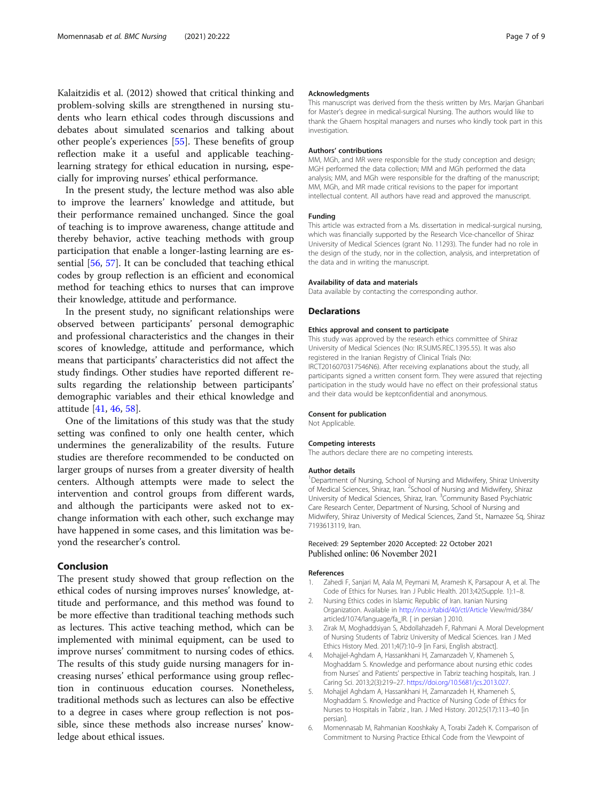<span id="page-6-0"></span>Kalaitzidis et al. (2012) showed that critical thinking and problem-solving skills are strengthened in nursing students who learn ethical codes through discussions and debates about simulated scenarios and talking about other people's experiences [[55](#page-8-0)]. These benefits of group reflection make it a useful and applicable teachinglearning strategy for ethical education in nursing, especially for improving nurses' ethical performance.

In the present study, the lecture method was also able to improve the learners' knowledge and attitude, but their performance remained unchanged. Since the goal of teaching is to improve awareness, change attitude and thereby behavior, active teaching methods with group participation that enable a longer-lasting learning are essential [\[56](#page-8-0), [57](#page-8-0)]. It can be concluded that teaching ethical codes by group reflection is an efficient and economical method for teaching ethics to nurses that can improve their knowledge, attitude and performance.

In the present study, no significant relationships were observed between participants' personal demographic and professional characteristics and the changes in their scores of knowledge, attitude and performance, which means that participants' characteristics did not affect the study findings. Other studies have reported different results regarding the relationship between participants' demographic variables and their ethical knowledge and attitude [\[41](#page-7-0), [46,](#page-7-0) [58\]](#page-8-0).

One of the limitations of this study was that the study setting was confined to only one health center, which undermines the generalizability of the results. Future studies are therefore recommended to be conducted on larger groups of nurses from a greater diversity of health centers. Although attempts were made to select the intervention and control groups from different wards, and although the participants were asked not to exchange information with each other, such exchange may have happened in some cases, and this limitation was beyond the researcher's control.

# Conclusion

The present study showed that group reflection on the ethical codes of nursing improves nurses' knowledge, attitude and performance, and this method was found to be more effective than traditional teaching methods such as lectures. This active teaching method, which can be implemented with minimal equipment, can be used to improve nurses' commitment to nursing codes of ethics. The results of this study guide nursing managers for increasing nurses' ethical performance using group reflection in continuous education courses. Nonetheless, traditional methods such as lectures can also be effective to a degree in cases where group reflection is not possible, since these methods also increase nurses' knowledge about ethical issues.

#### Acknowledgments

This manuscript was derived from the thesis written by Mrs. Marjan Ghanbari for Master's degree in medical-surgical Nursing. The authors would like to thank the Ghaem hospital managers and nurses who kindly took part in this investigation.

#### Authors' contributions

MM, MGh, and MR were responsible for the study conception and design; MGH performed the data collection; MM and MGh performed the data analysis; MM, and MGh were responsible for the drafting of the manuscript; MM, MGh, and MR made critical revisions to the paper for important intellectual content. All authors have read and approved the manuscript.

#### Funding

This article was extracted from a Ms. dissertation in medical-surgical nursing, which was financially supported by the Research Vice-chancellor of Shiraz University of Medical Sciences (grant No. 11293). The funder had no role in the design of the study, nor in the collection, analysis, and interpretation of the data and in writing the manuscript.

#### Availability of data and materials

Data available by contacting the corresponding author.

#### Declarations

#### Ethics approval and consent to participate

This study was approved by the research ethics committee of Shiraz University of Medical Sciences (No: IR.SUMS.REC.1395.55). It was also registered in the Iranian Registry of Clinical Trials (No: IRCT2016070317546N6). After receiving explanations about the study, all participants signed a written consent form. They were assured that rejecting participation in the study would have no effect on their professional status and their data would be keptconfidential and anonymous.

### Consent for publication

Not Applicable.

#### Competing interests

The authors declare there are no competing interests.

#### Author details

<sup>1</sup>Department of Nursing, School of Nursing and Midwifery, Shiraz University of Medical Sciences, Shiraz, Iran. <sup>2</sup>School of Nursing and Midwifery, Shiraz University of Medical Sciences, Shiraz, Iran. <sup>3</sup> Community Based Psychiatric Care Research Center, Department of Nursing, School of Nursing and Midwifery, Shiraz University of Medical Sciences, Zand St., Namazee Sq, Shiraz 7193613119, Iran.

#### Received: 29 September 2020 Accepted: 22 October 2021 Published online: 06 November 2021

#### References

- 1. Zahedi F, Sanjari M, Aala M, Peymani M, Aramesh K, Parsapour A, et al. The Code of Ethics for Nurses. Iran J Public Health. 2013;42(Supple. 1):1–8.
- 2. Nursing Ethics codes in Islamic Republic of Iran. Iranian Nursing Organization. Available in <http://ino.ir/tabid/40/ctl/Article> View/mid/384/ articled/1074/language/fa\_IR. [ in persian ] 2010.
- 3. Zirak M, Moghaddsiyan S, Abdollahzadeh F, Rahmani A. Moral Development of Nursing Students of Tabriz University of Medical Sciences. Iran J Med Ethics History Med. 2011;4(7):10–9 [in Farsi, English abstract].
- 4. Mohajjel-Aghdam A, Hassankhani H, Zamanzadeh V, Khameneh S, Moghaddam S. Knowledge and performance about nursing ethic codes from Nurses' and Patients' perspective in Tabriz teaching hospitals, Iran. J Caring Sci. 2013;2(3):219–27. [https://doi.org/10.5681/jcs.2013.027.](https://doi.org/10.5681/jcs.2013.027)
- 5. Mohajjel Aghdam A, Hassankhani H, Zamanzadeh H, Khameneh S, Moghaddam S. Knowledge and Practice of Nursing Code of Ethics for Nurses to Hospitals in Tabriz , Iran. J Med History. 2012;5(17):113–40 [in persian].
- 6. Momennasab M, Rahmanian Kooshkaky A, Torabi Zadeh K. Comparison of Commitment to Nursing Practice Ethical Code from the Viewpoint of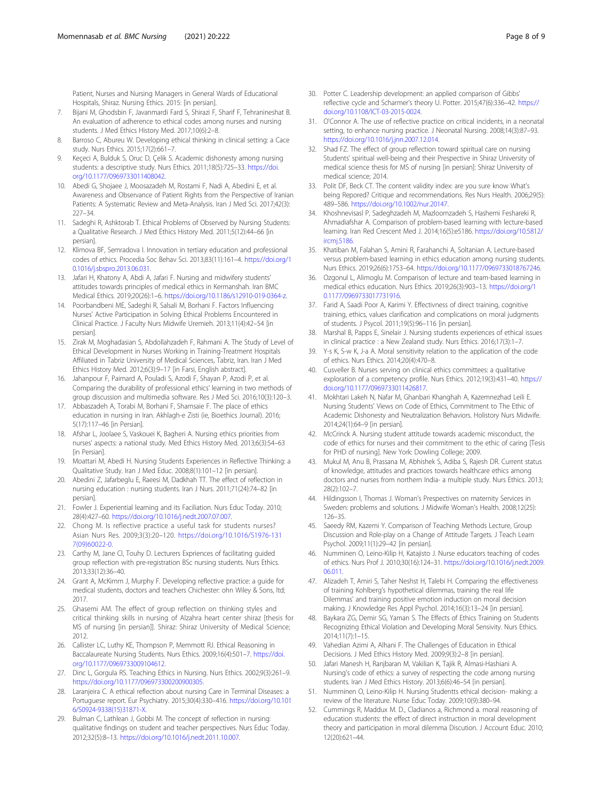<span id="page-7-0"></span>Patient, Nurses and Nursing Managers in General Wards of Educational Hospitals, Shiraz. Nursing Ethics. 2015: [in persian].

- 7. Bijani M, Ghodsbin F, Javanmardi Fard S, Shirazi F, Sharif F, Tehranineshat B. An evaluation of adherence to ethical codes among nurses and nursing students. J Med Ethics History Med. 2017;10(6):2–8.
- 8. Barroso C, Abureu W. Developing ethical thinking in clinical setting: a Cace study. Nurs Ethics. 2015;17(2):661–7.
- 9. Keçeci A, Bulduk S, Oruc D, Çelik S. Academic dishonesty among nursing students: a descriptive study. Nurs Ethics. 2011;18(5):725–33. [https://doi.](https://doi.org/10.1177/0969733011408042) [org/10.1177/0969733011408042.](https://doi.org/10.1177/0969733011408042)
- 10. Abedi G, Shojaee J, Moosazadeh M, Rostami F, Nadi A, Abedini E, et al. Awareness and Observance of Patient Rights from the Perspective of Iranian Patients: A Systematic Review and Meta-Analysis. Iran J Med Sci. 2017;42(3): 227–34.
- 11. Sadeghi R, Ashktorab T. Ethical Problems of Observed by Nursing Students: a Qualitative Research. J Med Ethics History Med. 2011;5(12):44–66 [in persian].
- 12. Klimova BF, Semradova I. Innovation in tertiary education and professional codes of ethics. Procedia Soc Behav Sci. 2013;83(11):161–4. [https://doi.org/1](https://doi.org/10.1016/j.sbspro.2013.06.031) [0.1016/j.sbspro.2013.06.031](https://doi.org/10.1016/j.sbspro.2013.06.031).
- 13. Jafari H, Khatony A, Abdi A, Jafari F. Nursing and midwifery students' attitudes towards principles of medical ethics in Kermanshah. Iran BMC Medical Ethics. 2019;20(26):1–6. [https://doi.org/10.1186/s12910-019-0364-z.](https://doi.org/10.1186/s12910-019-0364-z)
- 14. Poorbandbeni ME, Sadeghi R, Salsali M, Borhani F. Factors Influencing Nurses' Active Participation in Solving Ethical Problems Encountered in Clinical Practice. J Faculty Nurs Midwife Uremieh. 2013;11(4):42–54 [in persian].
- 15. Zirak M, Moghadasian S, Abdollahzadeh F, Rahmani A. The Study of Level of Ethical Development in Nurses Working in Training-Treatment Hospitals Affiliated in Tabriz University of Medical Sciences, Tabriz, Iran. Iran J Med Ethics History Med. 2012;6(3):9–17 [in Farsi, English abstract].
- 16. Jahanpour F, Paimard A, Pouladi S, Azodi F, Shayan P, Azodi P, et al. Comparing the durability of professional ethics' learning in two methods of group discussion and multimedia software. Res J Med Sci. 2016;10(3):120–3.
- 17. Abbaszadeh A, Torabi M, Borhani F, Shamsaie F. The place of ethics education in nursing in Iran. Akhlagh-e Zisti (ie, Bioethics Journal). 2016; 5(17):117–46 [in Persian].
- 18. Afshar L, Joolaee S, Vaskouei K, Bagheri A. Nursing ethics priorities from nurses' aspects: a national study. Med Ethics History Med. 2013;6(3):54–63 [in Persian].
- 19. Moattari M, Abedi H. Nursing Students Experiences in Reflective Thinking: a Qualitative Study. Iran J Med Educ. 2008;8(1):101–12 [in persian].
- 20. Abedini Z, Jafarbeglu E, Raeesi M, Dadkhah TT. The effect of reflection in nursing education : nursing students. Iran J Nurs. 2011;71(24):74–82 [in persian].
- 21. Fowler J. Experiential learning and its Faciliation. Nurs Educ Today. 2010; 28(4):427–60. <https://doi.org/10.1016/j.nedt.2007.07.007>.
- 22. Chong M. Is reflective practice a useful task for students nurses? Asian Nurs Res. 2009;3(3):20–120. [https://doi.org/10.1016/S1976-131](https://doi.org/10.1016/S1976-1317(09)60022-0) [7\(09\)60022-0](https://doi.org/10.1016/S1976-1317(09)60022-0).
- 23. Carthy M, Jane CI, Touhy D. Lecturers Expriences of facilitating guided group reflection with pre-registration BSc nursing students. Nurs Ethics. 2013;33(12):36–40.
- 24. Grant A, McKimm J, Murphy F. Developing reflective practice: a guide for medical students, doctors and teachers Chichester: ohn Wiley & Sons, ltd; 2017.
- 25. Ghasemi AM. The effect of group reflection on thinking styles and critical thinking skills in nursing of Alzahra heart center shiraz [thesis for MS of nursing [in persian]]. Shiraz: Shiraz University of Medical Science; 2012.
- 26. Callister LC, Luthy KE, Thompson P, Memmott RJ. Ethical Reasoning in Baccalaureate Nursing Students. Nurs Ethics. 2009;16(4):501–7. [https://doi.](https://doi.org/10.1177/0969733009104612) [org/10.1177/0969733009104612.](https://doi.org/10.1177/0969733009104612)
- 27. Dinc L, Gorgula RS. Teaching Ethics in Nursing. Nurs Ethics. 2002;9(3):261–9. <https://doi.org/10.1177/096973300200900305>.
- 28. Laranjeira C. A ethical reflection about nursing Care in Terminal Diseases: a Portuguese report. Eur Psychiatry. 2015;30(4):330–416. [https://doi.org/10.101](https://doi.org/10.1016/S0924-9338(15)31871-X) [6/S0924-9338\(15\)31871-X.](https://doi.org/10.1016/S0924-9338(15)31871-X)
- 29. Bulman C, Lathlean J, Gobbi M. The concept of reflection in nursing: qualitative findings on student and teacher perspectives. Nurs Educ Today. 2012;32(5):8–13. <https://doi.org/10.1016/j.nedt.2011.10.007>.
- 30. Potter C. Leadership development: an applied comparison of Gibbs' reflective cycle and Scharmer's theory U. Potter. 2015;47(6):336–42. [https://](https://doi.org/10.1108/ICT-03-2015-0024) [doi.org/10.1108/ICT-03-2015-0024](https://doi.org/10.1108/ICT-03-2015-0024).
- 31. O'Connor A. The use of reflective practice on critical incidents, in a neonatal setting, to enhance nursing practice. J Neonatal Nursing. 2008;14(3):87–93. [https://doi.org/10.1016/j.jnn.2007.12.014.](https://doi.org/10.1016/j.jnn.2007.12.014)
- 32. Shad FZ. The effect of group reflection toward spiritual care on nursing Students' spiritual well-being and their Prespective in Shiraz University of medical science thesis for MS of nursing [in persian]: Shiraz University of medical science; 2014.
- 33. Polit DF, Beck CT. The content validity index: are you sure know What's being Repored? Critique and recommendations. Res Nurs Health. 2006;29(5): 489–586. <https://doi.org/10.1002/nur.20147>.
- 34. Khoshnevisasl P, Sadeghzadeh M, Mazloomzadeh S, Hashemi Feshareki R, Ahmadiafshar A. Comparison of problem-based learning with lecture-based learning. Iran Red Crescent Med J. 2014;16(5):e5186. [https://doi.org/10.5812/](https://doi.org/10.5812/ircmj.5186) [ircmj.5186](https://doi.org/10.5812/ircmj.5186).
- 35. Khatiban M, Falahan S, Amini R, Farahanchi A, Soltanian A. Lecture-based versus problem-based learning in ethics education among nursing students. Nurs Ethics. 2019;26(6):1753–64. [https://doi.org/10.1177/0969733018767246.](https://doi.org/10.1177/0969733018767246)
- 36. Ozgonul L, Alimoglu M. Comparison of lecture and team-based learning in medical ethics education. Nurs Ethics. 2019;26(3):903–13. [https://doi.org/1](https://doi.org/10.1177/0969733017731916) [0.1177/0969733017731916](https://doi.org/10.1177/0969733017731916).
- 37. Farid A, Saadi Poor A, Karimi Y. Effectivness of direct training, cognitive training, ethics, values clarification and complications on moral judgments of students. J Psycol. 2011;19(5):96–116 [in persian].
- 38. Marshal B, Papps E, Sinelair J. Nursing students experiences of ethical issues in clinical practice : a New Zealand study. Nurs Ethics. 2016;17(3):1–7.
- 39. Y-s K, S-w K, J-a A. Moral sensitivity relation to the application of the code of ethics. Nurs Ethics. 2014;20(4):470–8.
- 40. Cusveller B. Nurses serving on clinical ethics committees: a qualitative exploration of a competency profile. Nurs Ethics. 2012;19(3):431–40. [https://](https://doi.org/10.1177/0969733011426817) [doi.org/10.1177/0969733011426817.](https://doi.org/10.1177/0969733011426817)
- 41. Mokhtari Lakeh N, Nafar M, Ghanbari Khanghah A, Kazemnezhad Leili E. Nursing Students' Views on Code of Ethics, Commitment to The Ethic of Academic Dishonesty and Neutralization Behaviors. Holistory Nurs Midwife. 2014;24(1):64–9 [in persian].
- 42. McCrinck A. Nursing student attitude towards academic misconduct, the code of ethics for nurses and their commitment to the ethic of caring [Tesis for PHD of nursing]. New York: Dowling College; 2009.
- 43. Mukul M, Anu B, Prassana M, Abhishek S, Adiba S, Rajesh DR. Current status of knowledge, attitudes and practices towards healthcare ethics among doctors and nurses from northern India- a multiple study. Nurs Ethics. 2013; 28(2):102–7.
- 44. Hildingsson I, Thomas J. Woman's Prespectives on maternity Services in Sweden: problems and solutions. J Midwife Woman's Health. 2008;12(25): 126–35.
- 45. Saeedy RM, Kazemi Y. Comparison of Teaching Methods Lecture, Group Discussion and Role-play on a Change of Attitude Targets. J Teach Learn Psychol. 2009;11(1):29–42 [in persian].
- 46. Numminen O, Leino-Kilip H, Katajisto J. Nurse educators teaching of codes of ethics. Nurs Prof J. 2010;30(16):124–31. [https://doi.org/10.1016/j.nedt.2009.](https://doi.org/10.1016/j.nedt.2009.06.011) [06.011](https://doi.org/10.1016/j.nedt.2009.06.011).
- 47. Alizadeh T, Amiri S, Taher Neshst H, Talebi H. Comparing the effectiveness of training Kohlberg's hypothetical dilemmas, training the real life Dilemmas' and training positive emotion induction on moral decision making. J Knowledge Res Appl Psychol. 2014;16(3):13–24 [in persian].
- 48. Baykara ZG, Demir SG, Yaman S. The Effects of Ethics Training on Students Recognizing Ethical Violation and Developing Moral Sensivity. Nurs Ethics. 2014;11(7):1–15.
- Vahedian Azimi A, Alhani F. The Challenges of Education in Ethical Decisions. J Med Ethics History Med. 2009;9(3):2–8 [in persian].
- 50. Jafari Manesh H, Ranjbaran M, Vakilian K, Tajik R, Almasi-Hashiani A. Nursing's code of ethics: a survey of respecting the code among nursing students. Iran J Med Ethics History. 2013;6(6):46–54 [in persian].
- 51. Numminen O, Leino-Kilip H. Nursing Studentts ethical decision- making: a review of the literature. Nurse Educ Today. 2009;10(9):380–94.
- 52. Cummings R, Maddux M. D., Cladianos a, Richmond a. moral reasoning of education students: the effect of direct instruction in moral development theory and participation in moral dilemma Discution. J Account Educ. 2010; 12(20):621–44.